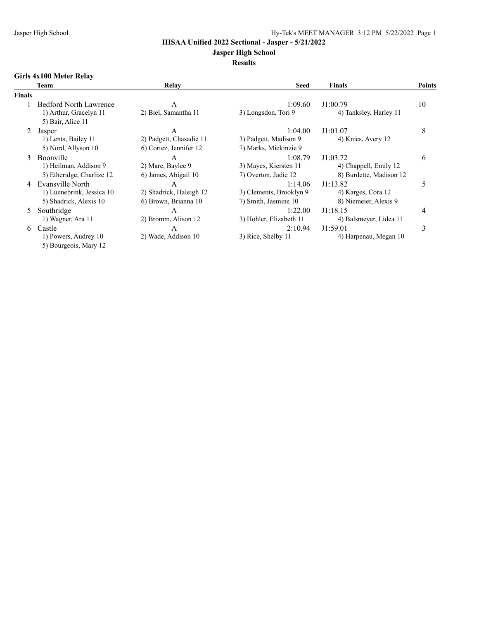## **Jasper High School**

# **Results**

## **Girls 4x100 Meter Relay**

|               | Team                          | Relay                   | <b>Seed</b>             | <b>Finals</b>           | Points |
|---------------|-------------------------------|-------------------------|-------------------------|-------------------------|--------|
| <b>Finals</b> |                               |                         |                         |                         |        |
|               | <b>Bedford North Lawrence</b> | A                       | 1:09.60                 | J1:00.79                | 10     |
|               | 1) Arthur, Gracelyn 11        | 2) Biel, Samantha 11    | 3) Longsdon, Tori 9     | 4) Tanksley, Harley 11  |        |
|               | 5) Bair, Alice 11             |                         |                         |                         |        |
| 2             | Jasper                        | A                       | 1:04.00                 | J1:01.07                | 8      |
|               | 1) Lents, Bailey 11           | 2) Padgett, Chasadie 11 | 3) Padgett, Madison 9   | 4) Knies, Avery 12      |        |
|               | 5) Nord, Allyson 10           | 6) Cortez, Jennifer 12  | 7) Marks, Mickinzie 9   |                         |        |
| $\mathcal{F}$ | <b>Boonville</b>              | A                       | 1:08.79                 | J1:03.72                | 6      |
|               | 1) Heilman, Addison 9         | 2) Mare, Baylee 9       | 3) Mayes, Kiersten 11   | 4) Chappell, Emily 12   |        |
|               | 5) Etheridge, Charlize 12     | 6) James, Abigail 10    | 7) Overton, Jadie 12    | 8) Burdette, Madison 12 |        |
|               | Evansville North              | A                       | 1:14.06                 | J1:13.82                | 5      |
|               | 1) Luenebrink, Jessica 10     | 2) Shadrick, Haleigh 12 | 3) Clements, Brooklyn 9 | 4) Karges, Cora 12      |        |
|               | 5) Shadrick, Alexis 10        | 6) Brown, Brianna 10    | 7) Smith, Jasmine 10    | 8) Niemeier, Alexis 9   |        |
| 5.            | Southridge                    | A                       | 1:22.00                 | J1:18.15                | 4      |
|               | 1) Wagner, Ara 11             | 2) Bromm, Alison 12     | 3) Hohler, Elizabeth 11 | 4) Balsmeyer, Lidea 11  |        |
| 6             | Castle                        | A                       | 2:10.94                 | J1:59.01                | 3      |
|               | 1) Powers, Audrey 10          | 2) Wade, Addison 10     | 3) Rice, Shelby 11      | 4) Harpenau, Megan 10   |        |
|               | 5) Bourgeois, Mary 12         |                         |                         |                         |        |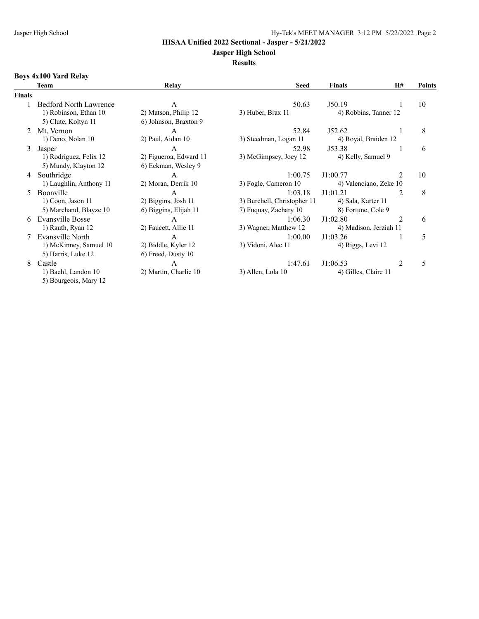#### **Jasper High School**

**Results**

# **Boys 4x100 Yard Relay**

|               | Team                          | Relay                  | <b>Seed</b>                 | <b>Finals</b>          | <b>H#</b>      | <b>Points</b> |
|---------------|-------------------------------|------------------------|-----------------------------|------------------------|----------------|---------------|
| <b>Finals</b> |                               |                        |                             |                        |                |               |
|               | <b>Bedford North Lawrence</b> | A                      | 50.63                       | J50.19                 |                | 10            |
|               | 1) Robinson, Ethan 10         | 2) Matson, Philip 12   | 3) Huber, Brax 11           | 4) Robbins, Tanner 12  |                |               |
|               | 5) Clute, Koltyn 11           | 6) Johnson, Braxton 9  |                             |                        |                |               |
|               | Mt. Vernon                    | A                      | 52.84                       | J52.62                 |                | 8             |
|               | 1) Deno, Nolan 10             | 2) Paul, Aidan 10      | 3) Steedman, Logan 11       | 4) Royal, Braiden 12   |                |               |
| 3             | Jasper                        | $\overline{A}$         | 52.98                       | J53.38                 |                | 6             |
|               | 1) Rodriguez, Felix 12        | 2) Figueroa, Edward 11 | 3) McGimpsey, Joey 12       | 4) Kelly, Samuel 9     |                |               |
|               | 5) Mundy, Klayton 12          | 6) Eckman, Wesley 9    |                             |                        |                |               |
| 4             | Southridge                    | A                      | 1:00.75                     | J1:00.77               |                | 10            |
|               | 1) Laughlin, Anthony 11       | 2) Moran, Derrik 10    | 3) Fogle, Cameron 10        | 4) Valenciano, Zeke 10 |                |               |
| 5.            | <b>Boonville</b>              | $\mathsf{A}$           | 1:03.18                     | J1:01.21               | $\mathfrak{D}$ | 8             |
|               | 1) Coon, Jason 11             | 2) Biggins, Josh 11    | 3) Burchell, Christopher 11 | 4) Sala, Karter 11     |                |               |
|               | 5) Marchand, Blayze 10        | 6) Biggins, Elijah 11  | 7) Fuguay, Zachary 10       | 8) Fortune, Cole 9     |                |               |
| 6.            | Evansville Bosse              | A                      | 1:06.30                     | J1:02.80               | 2              | 6             |
|               | 1) Rauth, Ryan 12             | 2) Faucett, Allie 11   | 3) Wagner, Matthew 12       | 4) Madison, Jerziah 11 |                |               |
|               | Evansville North              | A                      | 1:00.00                     | J1:03.26               |                | 5             |
|               | 1) McKinney, Samuel 10        | 2) Biddle, Kyler 12    | 3) Vidoni, Alec 11          | 4) Riggs, Levi 12      |                |               |
|               | 5) Harris, Luke 12            | 6) Freed, Dusty 10     |                             |                        |                |               |
| 8             | Castle                        | A                      | 1:47.61                     | J1:06.53               | $\mathfrak{D}$ | 5             |
|               | 1) Baehl, Landon 10           | 2) Martin, Charlie 10  | 3) Allen, Lola 10           | 4) Gilles, Claire 11   |                |               |
|               | 5) Bourgeois, Mary 12         |                        |                             |                        |                |               |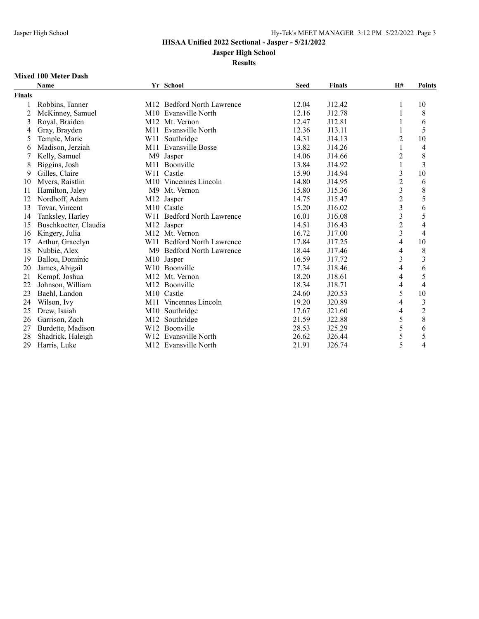**Jasper High School**

#### **Results**

### **Mixed 100 Meter Dash**

|               | <b>Name</b>           |                 | Yr School                              | <b>Seed</b> | <b>Finals</b> | H#                       | <b>Points</b>  |
|---------------|-----------------------|-----------------|----------------------------------------|-------------|---------------|--------------------------|----------------|
| <b>Finals</b> |                       |                 |                                        |             |               |                          |                |
|               | Robbins, Tanner       |                 | M12 Bedford North Lawrence             | 12.04       | J12.42        | 1                        | 10             |
| 2             | McKinney, Samuel      |                 | M <sub>10</sub> Evansville North       | 12.16       | J12.78        | 1                        | 8              |
| 3             | Royal, Braiden        |                 | M <sub>12</sub> M <sub>t.</sub> Vernon | 12.47       | J12.81        |                          | 6              |
| 4             | Gray, Brayden         | M11             | Evansville North                       | 12.36       | J13.11        |                          | 5              |
| 5             | Temple, Marie         | W11             | Southridge                             | 14.31       | J14.13        | $\overline{2}$           | $10\,$         |
| 6             | Madison, Jerziah      | M11             | Evansville Bosse                       | 13.82       | J14.26        | 1                        | $\overline{4}$ |
|               | Kelly, Samuel         | M <sup>9</sup>  | Jasper                                 | 14.06       | J14.66        | $\overline{c}$           | $\,$ 8 $\,$    |
| 8             | Biggins, Josh         | M11             | Boonville                              | 13.84       | J14.92        | 1                        | 3              |
| 9             | Gilles, Claire        | W11             | Castle                                 | 15.90       | J14.94        | 3                        | $10\,$         |
| 10            | Myers, Raistlin       |                 | M <sub>10</sub> Vincennes Lincoln      | 14.80       | J14.95        | $\overline{c}$           | 6              |
| 11            | Hamilton, Jaley       | M <sup>9</sup>  | Mt. Vernon                             | 15.80       | J15.36        | $\overline{\mathbf{3}}$  | 8              |
| 12            | Nordhoff, Adam        | M <sub>12</sub> | Jasper                                 | 14.75       | J15.47        | $\overline{2}$           | 5              |
| 13            | Tovar, Vincent        |                 | M <sub>10</sub> Castle                 | 15.20       | J16.02        | $\overline{\mathbf{3}}$  | 6              |
| 14            | Tanksley, Harley      |                 | W11 Bedford North Lawrence             | 16.01       | J16.08        | 3                        | 5              |
| 15            | Buschkoetter, Claudia |                 | M12 Jasper                             | 14.51       | J16.43        | $\overline{c}$           | $\overline{4}$ |
| 16            | Kingery, Julia        |                 | M <sub>12</sub> M <sub>t.</sub> Vernon | 16.72       | J17.00        | $\overline{\mathbf{3}}$  | $\overline{4}$ |
| 17            | Arthur, Gracelyn      |                 | W11 Bedford North Lawrence             | 17.84       | J17.25        | $\overline{4}$           | 10             |
| 18            | Nubbie, Alex          |                 | M9 Bedford North Lawrence              | 18.44       | J17.46        | $\overline{4}$           | $\,$ $\,$      |
| 19            | Ballou, Dominic       |                 | M10 Jasper                             | 16.59       | J17.72        | $\overline{\mathbf{3}}$  | $\overline{3}$ |
| 20            | James, Abigail        |                 | W <sub>10</sub> Boonville              | 17.34       | J18.46        | 4                        | 6              |
| 21            | Kempf, Joshua         | M12             | Mt. Vernon                             | 18.20       | J18.61        | 4                        | 5              |
| 22            | Johnson, William      |                 | M <sub>12</sub> Boonville              | 18.34       | J18.71        | 4                        | $\overline{4}$ |
| 23            | Baehl, Landon         |                 | M <sub>10</sub> Castle                 | 24.60       | J20.53        | 5                        | 10             |
| 24            | Wilson, Ivy           |                 | M <sub>11</sub> Vincennes Lincoln      | 19.20       | J20.89        | 4                        | $\mathfrak{Z}$ |
| 25            | Drew, Isaiah          | M10             | Southridge                             | 17.67       | J21.60        | $\overline{\mathcal{L}}$ | $\overline{c}$ |
| 26            | Garrison, Zach        | M12             | Southridge                             | 21.59       | J22.88        | 5                        | 8              |
| 27            | Burdette, Madison     |                 | W12 Boonville                          | 28.53       | J25.29        | 5                        | 6              |
| 28            | Shadrick, Haleigh     | W12             | Evansville North                       | 26.62       | J26.44        | 5                        | 5              |
| 29            | Harris, Luke          |                 | M12 Evansville North                   | 21.91       | J26.74        | 5                        | $\overline{4}$ |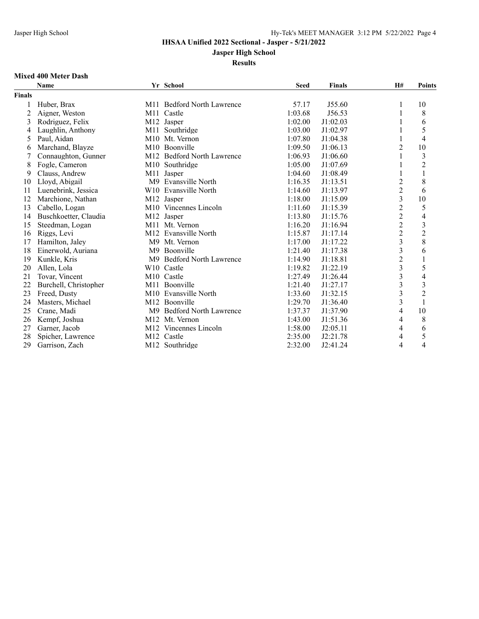**Jasper High School**

#### **Results**

### **Mixed 400 Meter Dash**

|               | <b>Name</b>           |                | Yr School                              | <b>Seed</b> | <b>Finals</b> | H#                      | <b>Points</b>           |
|---------------|-----------------------|----------------|----------------------------------------|-------------|---------------|-------------------------|-------------------------|
| <b>Finals</b> |                       |                |                                        |             |               |                         |                         |
|               | Huber, Brax           |                | M11 Bedford North Lawrence             | 57.17       | J55.60        | 1                       | 10                      |
| 2             | Aigner, Weston        | M11            | Castle                                 | 1:03.68     | J56.53        |                         | 8                       |
| 3             | Rodriguez, Felix      |                | M12 Jasper                             | 1:02.00     | J1:02.03      |                         | 6                       |
| 4             | Laughlin, Anthony     | M11            | Southridge                             | 1:03.00     | J1:02.97      |                         | 5                       |
| 5             | Paul, Aidan           |                | M <sub>10</sub> M <sub>t.</sub> Vernon | 1:07.80     | J1:04.38      | 1                       | $\overline{4}$          |
| 6             | Marchand, Blayze      |                | M10 Boonville                          | 1:09.50     | J1:06.13      | $\overline{c}$          | $10\,$                  |
|               | Connaughton, Gunner   |                | M12 Bedford North Lawrence             | 1:06.93     | J1:06.60      |                         | $\mathfrak{Z}$          |
| 8             | Fogle, Cameron        |                | M <sub>10</sub> Southridge             | 1:05.00     | J1:07.69      |                         | $\overline{c}$          |
| 9             | Clauss, Andrew        | M11            | Jasper                                 | 1:04.60     | J1:08.49      |                         | $\,1\,$                 |
| 10            | Lloyd, Abigail        | M <sup>9</sup> | <b>Evansville North</b>                | 1:16.35     | J1:13.51      | $\overline{c}$          | 8                       |
| 11            | Luenebrink, Jessica   |                | W <sub>10</sub> Evansville North       | 1:14.60     | J1:13.97      | $\overline{2}$          | 6                       |
| 12            | Marchione, Nathan     |                | M12 Jasper                             | 1:18.00     | J1:15.09      | $\overline{\mathbf{3}}$ | 10                      |
| 13            | Cabello, Logan        |                | M10 Vincennes Lincoln                  | 1:11.60     | J1:15.39      | $\overline{2}$          | 5                       |
| 14            | Buschkoetter, Claudia |                | M12 Jasper                             | 1:13.80     | J1:15.76      | $\overline{c}$          | $\overline{4}$          |
| 15            | Steedman, Logan       |                | M11 Mt. Vernon                         | 1:16.20     | J1:16.94      | $\overline{c}$          | $\overline{\mathbf{3}}$ |
| 16            | Riggs, Levi           |                | M12 Evansville North                   | 1:15.87     | J1:17.14      | $\overline{2}$          | $\overline{2}$          |
| 17            | Hamilton, Jaley       |                | M9 Mt. Vernon                          | 1:17.00     | J1:17.22      | $\overline{\mathbf{3}}$ | 8                       |
| 18            | Einerwold, Auriana    | M9             | Boonville                              | 1:21.40     | J1:17.38      | $\overline{\mathbf{3}}$ | 6                       |
| 19            | Kunkle, Kris          |                | M9 Bedford North Lawrence              | 1:14.90     | J1:18.81      | $\overline{c}$          | $\,1\,$                 |
| 20            | Allen, Lola           |                | W10 Castle                             | 1:19.82     | J1:22.19      | $\overline{\mathbf{3}}$ | 5                       |
| 21            | Tovar, Vincent        |                | M <sub>10</sub> Castle                 | 1:27.49     | J1:26.44      | $\overline{3}$          | $\overline{4}$          |
| 22            | Burchell, Christopher |                | M11 Boonville                          | 1:21.40     | J1:27.17      | $\overline{\mathbf{3}}$ | $\overline{3}$          |
| 23            | Freed, Dusty          |                | M <sub>10</sub> Evansville North       | 1:33.60     | J1:32.15      | 3                       | $\overline{c}$          |
| 24            | Masters, Michael      |                | M12 Boonville                          | 1:29.70     | J1:36.40      | $\overline{\mathbf{3}}$ | $\,1\,$                 |
| 25            | Crane, Madi           | M <sup>9</sup> | <b>Bedford North Lawrence</b>          | 1:37.37     | J1:37.90      | 4                       | 10                      |
| 26            | Kempf, Joshua         | M12            | Mt. Vernon                             | 1:43.00     | J1:51.36      | 4                       | 8                       |
| 27            | Garner, Jacob         |                | M <sub>12</sub> Vincennes Lincoln      | 1:58.00     | J2:05.11      | 4                       | 6                       |
| 28            | Spicher, Lawrence     | M12            | Castle                                 | 2:35.00     | J2:21.78      | $\overline{4}$          | 5                       |
| 29            | Garrison, Zach        |                | M12 Southridge                         | 2:32.00     | J2:41.24      | 4                       | $\overline{4}$          |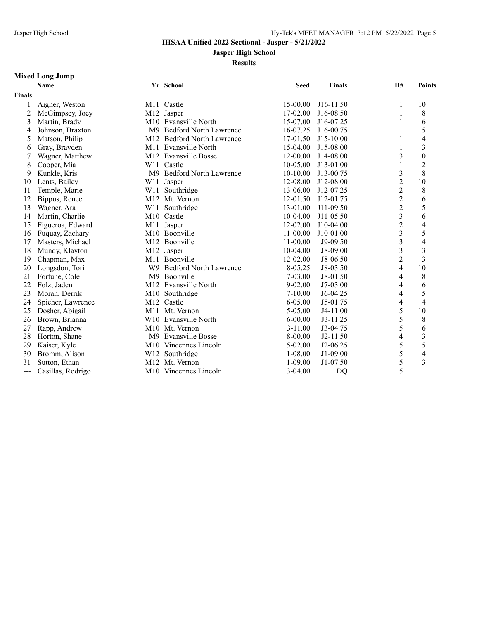**Jasper High School**

**Results**

## **Mixed Long Jump**

|                     | <b>Name</b>       |                | Yr School                         | <b>Seed</b> | <b>Finals</b> | H#                       | <b>Points</b>           |
|---------------------|-------------------|----------------|-----------------------------------|-------------|---------------|--------------------------|-------------------------|
| <b>Finals</b>       |                   |                |                                   |             |               |                          |                         |
|                     | Aigner, Weston    |                | M11 Castle                        | 15-00.00    | J16-11.50     | 1                        | 10                      |
| 2                   | McGimpsey, Joey   |                | M12 Jasper                        | 17-02.00    | J16-08.50     | 1                        | $\,8\,$                 |
| 3                   | Martin, Brady     |                | M10 Evansville North              | 15-07.00    | J16-07.25     | 1                        | 6                       |
| $\overline{4}$      | Johnson, Braxton  | M9             | <b>Bedford North Lawrence</b>     | 16-07.25    | J16-00.75     | 1                        | 5                       |
| 5                   | Matson, Philip    | M12            | <b>Bedford North Lawrence</b>     | 17-01.50    | $J15-10.00$   |                          | $\overline{4}$          |
| 6                   | Gray, Brayden     |                | M11 Evansville North              | 15-04.00    | J15-08.00     |                          | $\overline{3}$          |
|                     | Wagner, Matthew   |                | M12 Evansville Bosse              | 12-00.00    | J14-08.00     | 3                        | 10                      |
| 8                   | Cooper, Mia       |                | W11 Castle                        | 10-05.00    | $J13-01.00$   | 1                        | $\overline{2}$          |
| 9                   | Kunkle, Kris      | M <sup>9</sup> | <b>Bedford North Lawrence</b>     | 10-10.00    | J13-00.75     | $\overline{\mathbf{3}}$  | 8                       |
| 10                  | Lents, Bailey     | W11            | Jasper                            | 12-08.00    | J12-08.00     | $\overline{2}$           | $10\,$                  |
| 11                  | Temple, Marie     | W11            | Southridge                        | 13-06.00    | J12-07.25     | $\overline{2}$           | $\,$ 8 $\,$             |
| 12                  | Bippus, Renee     |                | M12 Mt. Vernon                    | 12-01.50    | J12-01.75     | $\overline{c}$           | 6                       |
| 13                  | Wagner, Ara       | W11            | Southridge                        | 13-01.00    | J11-09.50     | $\overline{c}$           | 5                       |
| 14                  | Martin, Charlie   |                | M <sub>10</sub> Castle            | 10-04.00    | J11-05.50     | $\overline{3}$           | 6                       |
| 15                  | Figueroa, Edward  |                | M11 Jasper                        | 12-02.00    | J10-04.00     | $\overline{2}$           | $\overline{4}$          |
| 16                  | Fuquay, Zachary   |                | M <sub>10</sub> Boonville         | $11-00.00$  | J10-01.00     | $\overline{\mathbf{3}}$  | 5                       |
| 17                  | Masters, Michael  |                | M12 Boonville                     | 11-00.00    | J9-09.50      | $\overline{\mathbf{3}}$  | $\overline{4}$          |
| 18                  | Mundy, Klayton    |                | M12 Jasper                        | $10-04.00$  | J8-09.00      | 3                        | $\overline{\mathbf{3}}$ |
| 19                  | Chapman, Max      |                | M11 Boonville                     | 12-02.00    | J8-06.50      | $\overline{2}$           | 3                       |
| 20                  | Longsdon, Tori    | W9             | <b>Bedford North Lawrence</b>     | 8-05.25     | J8-03.50      | $\overline{4}$           | 10                      |
| 21                  | Fortune, Cole     | M <sup>9</sup> | Boonville                         | $7 - 03.00$ | $J8-01.50$    | $\overline{4}$           | $\,$ $\,$               |
| 22                  | Folz, Jaden       |                | M12 Evansville North              | $9 - 02.00$ | $J7-03.00$    | 4                        | 6                       |
| 23                  | Moran, Derrik     |                | M10 Southridge                    | $7 - 10.00$ | $J6-04.25$    | 4                        | 5                       |
| 24                  | Spicher, Lawrence |                | M <sub>12</sub> Castle            | $6 - 05.00$ | J5-01.75      | 4                        | $\overline{4}$          |
| 25                  | Dosher, Abigail   |                | M11 Mt. Vernon                    | 5-05.00     | J4-11.00      | 5                        | 10                      |
| 26                  | Brown, Brianna    |                | W10 Evansville North              | $6 - 00.00$ | $J3-11.25$    | 5                        | 8                       |
| 27                  | Rapp, Andrew      |                | M10 Mt. Vernon                    | $3 - 11.00$ | J3-04.75      | 5                        | 6                       |
| 28                  | Horton, Shane     |                | M9 Evansville Bosse               | 8-00.00     | $J2-11.50$    | $\overline{\mathcal{L}}$ | 3                       |
| 29                  | Kaiser, Kyle      |                | M <sub>10</sub> Vincennes Lincoln | $5 - 02.00$ | $J2-06.25$    | 5                        | 5                       |
| 30                  | Bromm, Alison     | W12            | Southridge                        | $1 - 08.00$ | J1-09.00      | 5                        | $\overline{4}$          |
| 31                  | Sutton, Ethan     | M12            | Mt. Vernon                        | $1-09.00$   | J1-07.50      | 5                        | $\overline{3}$          |
| $\qquad \qquad - -$ | Casillas, Rodrigo |                | M10 Vincennes Lincoln             | $3-04.00$   | DQ            | 5                        |                         |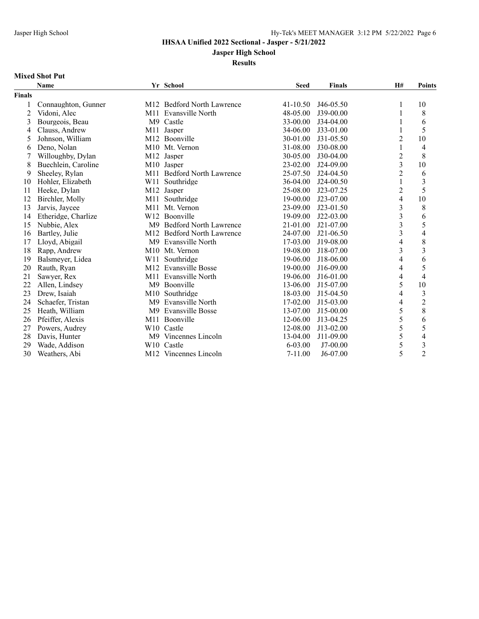**Jasper High School**

**Results**

### **Mixed Shot Put**

|               | <b>Name</b>         |                | Yr School                         | <b>Seed</b>  | <b>Finals</b> | H#                      | <b>Points</b>            |
|---------------|---------------------|----------------|-----------------------------------|--------------|---------------|-------------------------|--------------------------|
| <b>Finals</b> |                     |                |                                   |              |               |                         |                          |
|               | Connaughton, Gunner |                | M12 Bedford North Lawrence        | $41 - 10.50$ | J46-05.50     | 1                       | 10                       |
| 2             | Vidoni, Alec        | M11            | Evansville North                  | 48-05.00     | J39-00.00     |                         | 8                        |
| 3             | Bourgeois, Beau     |                | M9 Castle                         | 33-00.00     | J34-04.00     |                         | 6                        |
| 4             | Clauss, Andrew      | M11            | Jasper                            | 34-06.00     | $J33-01.00$   | 1                       | 5                        |
| 5             | Johnson, William    |                | M12 Boonville                     | 30-01.00     | $J31 - 05.50$ | 2                       | 10                       |
| 6             | Deno, Nolan         |                | M <sub>10</sub> Mt. Vernon        | 31-08.00     | J30-08.00     | 1                       | 4                        |
| 7             | Willoughby, Dylan   | M12            | Jasper                            | 30-05.00     | J30-04.00     | $\overline{c}$          | 8                        |
| 8             | Buechlein, Caroline |                | M10 Jasper                        | $23 - 02.00$ | J24-09.00     | $\overline{3}$          | 10                       |
| 9             | Sheeley, Rylan      |                | M11 Bedford North Lawrence        | 25-07.50     | $J24-04.50$   | $\overline{2}$          | 6                        |
| 10            | Hohler, Elizabeth   | W11            | Southridge                        | 36-04.00     | $J24-00.50$   | 1                       | 3                        |
| 11            | Heeke, Dylan        | M12            | Jasper                            | 25-08.00     | J23-07.25     | $\overline{c}$          | 5                        |
| 12            | Birchler, Molly     |                | M11 Southridge                    | 19-00.00     | $J23-07.00$   | 4                       | 10                       |
| 13            | Jarvis, Jaycee      | M11            | Mt. Vernon                        | 23-09.00     | $J23-01.50$   | $\overline{\mathbf{3}}$ | 8                        |
| 14            | Etheridge, Charlize | W12            | Boonville                         | 19-09.00     | $J22-03.00$   | $\overline{\mathbf{3}}$ | 6                        |
| 15            | Nubbie, Alex        | M9             | <b>Bedford North Lawrence</b>     | 21-01.00     | J21-07.00     | 3                       | 5                        |
| 16            | Bartley, Julie      | M12            | <b>Bedford North Lawrence</b>     | 24-07.00     | $J21-06.50$   | 3                       | 4                        |
| 17            | Lloyd, Abigail      | M9             | Evansville North                  | 17-03.00     | J19-08.00     | 4                       | 8                        |
| 18            | Rapp, Andrew        |                | M <sub>10</sub> Mt. Vernon        | 19-08.00     | J18-07.00     | $\overline{\mathbf{3}}$ | $\overline{\mathbf{3}}$  |
| 19            | Balsmeyer, Lidea    | W11            | Southridge                        | 19-06.00     | J18-06.00     | 4                       | 6                        |
| 20            | Rauth, Ryan         | M12            | Evansville Bosse                  | 19-00.00     | J16-09.00     | 4                       | 5                        |
| 21            | Sawyer, Rex         |                | M <sub>11</sub> Evansville North  | 19-06.00     | $J16-01.00$   | 4                       | 4                        |
| 22            | Allen, Lindsey      | M9             | Boonville                         | 13-06.00     | J15-07.00     | 5                       | 10                       |
| 23            | Drew, Isaiah        |                | M <sub>10</sub> Southridge        | 18-03.00     | J15-04.50     | 4                       | $\overline{\mathbf{3}}$  |
| 24            | Schaefer, Tristan   | M <sup>9</sup> | Evansville North                  | 17-02.00     | $J15-03.00$   | 4                       | $\overline{c}$           |
| 25            | Heath, William      | M <sup>9</sup> | <b>Evansville Bosse</b>           | 13-07.00     | J15-00.00     | 5                       | 8                        |
| 26            | Pfeiffer, Alexis    | M11            | Boonville                         | 12-06.00     | J13-04.25     | 5                       | 6                        |
| 27            | Powers, Audrey      |                | W10 Castle                        | 12-08.00     | J13-02.00     | 5                       | 5                        |
| 28            | Davis, Hunter       |                | M9 Vincennes Lincoln              | 13-04.00     | J11-09.00     | 5                       | $\overline{\mathcal{L}}$ |
| 29            | Wade, Addison       |                | W <sub>10</sub> Castle            | $6 - 03.00$  | $J7-00.00$    | 5                       | $\overline{\mathbf{3}}$  |
| 30            | Weathers, Abi       |                | M <sub>12</sub> Vincennes Lincoln | $7 - 11.00$  | $J6-07.00$    | 5                       | $\overline{2}$           |